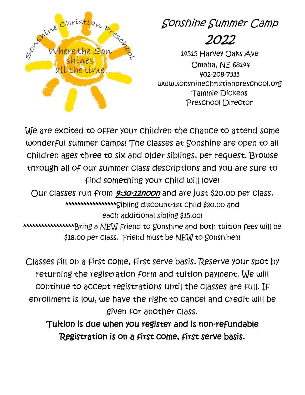

Sonshine Summer Camp

# 2022

14515 Harvey Oaks Ave Omaha, NE 68144 402-208-7333 www.sonshinechristianpreschool.org Tammie Dickens Preschool Director

We are excited to offer your children the chance to attend some wonderful summer camps! The classes at Sonshine are open to all children ages three to six and older siblings, per request. Browse through all of our summer class descriptions and you are sure to find something your child will love!

Our classes run from 9:30-12noon and are just \$20.00 per class. \*\*\*\*\*\*\*\*\*\*\*\*\*\*\*\*\*\*\*Sibling discount-1st child \$20.00 and each additional sibling \$15.00! \*\*\*\*\*\*\*\*\*\*\*\*\*\*\*\*\*\*\*Bring a NEW friend to Sonshine and both tuition fees will be \$18.00 per Class. Friend must be NEW to Sonshine!!!

Classes fill on a first come, first serve basis. Reserve your spot by returning the registration form and tuition payment. We will continue to accept registrations until the classes are full. If enrollment is low, we have the right to cancel and credit will be given for another class.

Tuition is due when you register and is non-refundable Registration is on a first come, first serve basis.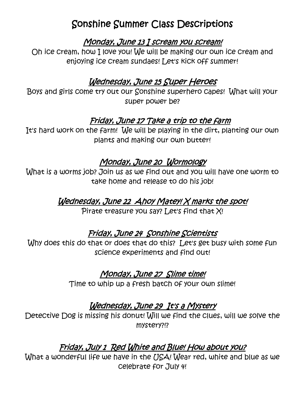# Sonshine Summer Class Descriptions

#### Monday, June 13 I scream you scream!

Oh ice cream, how I love you! We will be making our own ice cream and enjoying ice cream sundaes! Let's kick off summer!

# Wednesday, June 15 Super Heroes

Boys and girls come try out our Sonshine superhero capes! What will your super power be?

#### Friday, June 17 Take a trip to the farm

It's hard work on the farm! We will be playing in the dirt, planting our own plants and making our own butter!

#### Monday, June 20 Wormology

What is a worms job? Join us as we find out and you will have one worm to take home and release to do his job!

#### Wednesday, June 22 Ahoy Matey! X marks the spot!

Pirate treasure you say? Let's find that X!

#### Friday, June 24 Sonshine Scientists

Why does this do that or does that do this? Let's get busy with some fun science experiments and find out!

#### Monday, June 27 Slime time!

Time to whip up a fresh batch of your own slime!

#### Wednesday, June 29 It's a Mystery

Detective Dog is missing his donut! Will we find the clues, will we solve the mystery?!?

# Friday, July 1 Red White and Blue! How about you?

What a wonderful life we have in the USA! Wear red, white and blue as we celebrate for July 4!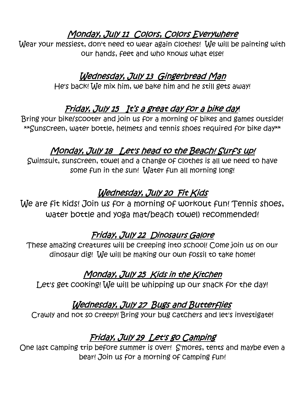# Monday, July 11 Colors, Colors Everywhere

Wear your messiest, don't need to wear again clothes! We will be painting with our hands, feet and who knows what else!

#### Wednesday, July 13 Gingerbread Man

He's back! We mix him, we bake him and he still gets away!

# Friday, July 15 It's a great day for a bike day!

Bring your bike/scooter and join us for a morning of bikes and games outside! \*\*Sunscreen, water bottle, helmets and tennis shoes required for bike day\*\*

# Monday, July 18 Let's head to the Beach! Surf's up!

Swimsuit, sunscreen, towel and a change of clothes is all we need to have some fun in the sun! Water fun all morning long!

# Wednesday, July 20 Fit Kids

We are fit kids! Join us for a morning of workout fun! Tennis shoes, water bottle and yoga mat/beach towel) recommended!

# Friday, July 22 Dinosaurs Galore

These amazing creatures will be creeping into school! Come join us on our dinosaur dig! We will be making our own fossil to take home!

# Monday, July 25 Kids in the Kitchen

Let's get cooking! We will be whipping up our snack for the day!

# Wednesday, July 27 Bugs and Butterflies

Crawly and not so creepy! Bring your bug catchers and let's investigate!

# Friday, July 29 Let's go Camping

One last camping trip before summer is over! S'mores, tents and maybe even a bear! Join us for a morning of camping fun!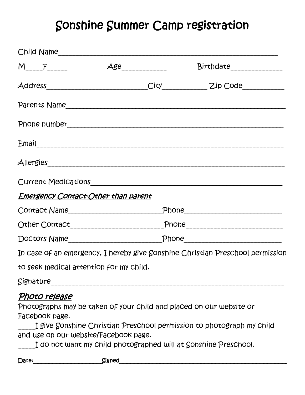# Sonshine Summer Camp registration

|                                                                          |                                            | Child Name                                                                                                                                                                                                      |
|--------------------------------------------------------------------------|--------------------------------------------|-----------------------------------------------------------------------------------------------------------------------------------------------------------------------------------------------------------------|
|                                                                          | $M_{\text{max}}$ $\text{Age}_{\text{max}}$ | Birthdate______________                                                                                                                                                                                         |
|                                                                          |                                            |                                                                                                                                                                                                                 |
|                                                                          |                                            |                                                                                                                                                                                                                 |
|                                                                          |                                            |                                                                                                                                                                                                                 |
|                                                                          |                                            | Email                                                                                                                                                                                                           |
|                                                                          |                                            |                                                                                                                                                                                                                 |
|                                                                          |                                            | Current Medications                                                                                                                                                                                             |
| <u> Emergency Contact-Other than parent</u>                              |                                            |                                                                                                                                                                                                                 |
|                                                                          |                                            |                                                                                                                                                                                                                 |
|                                                                          |                                            |                                                                                                                                                                                                                 |
|                                                                          |                                            |                                                                                                                                                                                                                 |
|                                                                          |                                            | In case of an emergency, I hereby give Sonshine Christian Preschool permission                                                                                                                                  |
| to seek medical attention for my child.                                  |                                            |                                                                                                                                                                                                                 |
| Signature                                                                |                                            |                                                                                                                                                                                                                 |
| Photo release<br>Facebook page.<br>and use on our website/Facebook page. |                                            | Photographs may be taken of your child and placed on our website or<br>I give Sonshine Christian Preschool permission to photograph my child<br>I do not want my child photographed will at Sonshine Preschool. |
|                                                                          |                                            |                                                                                                                                                                                                                 |